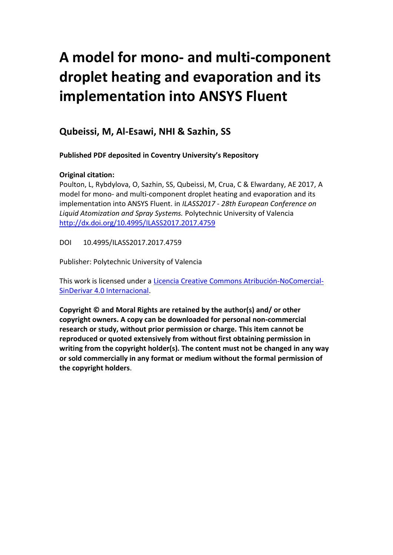# **A model for mono- and multi-component droplet heating and evaporation and its implementation into ANSYS Fluent**

## **Qubeissi, M, Al-Esawi, NHI & Sazhin, SS**

**Published PDF deposited in Coventry University's Repository**

### **Original citation:**

Poulton, L, Rybdylova, O, Sazhin, SS, Qubeissi, M, Crua, C & Elwardany, AE 2017, A model for mono- and multi-component droplet heating and evaporation and its implementation into ANSYS Fluent. in *ILASS2017 - 28th European Conference on Liquid Atomization and Spray Systems.* Polytechnic University of Valencia <http://dx.doi.org/10.4995/ILASS2017.2017.4759>

DOI 10.4995/ILASS2017.2017.4759

Publisher: Polytechnic University of Valencia

This work is licensed under a [Licencia Creative Commons Atribución-NoComercial-](http://creativecommons.org/licenses/by-nc-nd/4.0/)[SinDerivar 4.0 Internacional.](http://creativecommons.org/licenses/by-nc-nd/4.0/)

**Copyright © and Moral Rights are retained by the author(s) and/ or other copyright owners. A copy can be downloaded for personal non-commercial research or study, without prior permission or charge. This item cannot be reproduced or quoted extensively from without first obtaining permission in writing from the copyright holder(s). The content must not be changed in any way or sold commercially in any format or medium without the formal permission of the copyright holders**.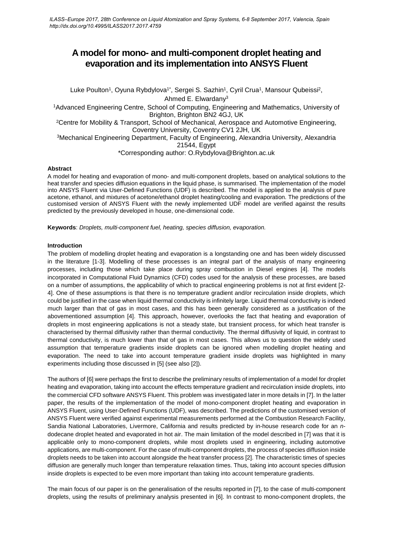## **A model for mono- and multi-component droplet heating and evaporation and its implementation into ANSYS Fluent**

Luke Poulton<sup>1</sup>, Oyuna Rybdylova<sup>1\*</sup>, Sergei S. Sazhin<sup>1</sup>, Cyril Crua<sup>1</sup>, Mansour Qubeissi<sup>2</sup>, Ahmed E. Elwardany3 1Advanced Engineering Centre, School of Computing, Engineering and Mathematics, University of Brighton, Brighton BN2 4GJ, UK 2Centre for Mobility & Transport, School of Mechanical, Aerospace and Automotive Engineering, Coventry University, Coventry CV1 2JH, UK 3Mechanical Engineering Department, Faculty of Engineering, Alexandria University, Alexandria 21544, Egypt \*Corresponding author: O.Rybdylova@Brighton.ac.uk

#### **Abstract**

A model for heating and evaporation of mono- and multi-component droplets, based on analytical solutions to the heat transfer and species diffusion equations in the liquid phase, is summarised. The implementation of the model into ANSYS Fluent via User-Defined Functions (UDF) is described. The model is applied to the analysis of pure acetone, ethanol, and mixtures of acetone/ethanol droplet heating/cooling and evaporation. The predictions of the customised version of ANSYS Fluent with the newly implemented UDF model are verified against the results predicted by the previously developed in house, one-dimensional code.

**Keywords**: *Droplets, multi-component fuel, heating, species diffusion, evaporation.*

#### **Introduction**

The problem of modelling droplet heating and evaporation is a longstanding one and has been widely discussed in the literature [1-3]. Modelling of these processes is an integral part of the analysis of many engineering processes, including those which take place during spray combustion in Diesel engines [4]. The models incorporated in Computational Fluid Dynamics (CFD) codes used for the analysis of these processes, are based on a number of assumptions, the applicability of which to practical engineering problems is not at first evident [2- 4]. One of these assumptions is that there is no temperature gradient and/or recirculation inside droplets, which could be justified in the case when liquid thermal conductivity is infinitely large. Liquid thermal conductivity is indeed much larger than that of gas in most cases, and this has been generally considered as a justification of the abovementioned assumption [4]. This approach, however, overlooks the fact that heating and evaporation of droplets in most engineering applications is not a steady state, but transient process, for which heat transfer is characterised by thermal diffusivity rather than thermal conductivity. The thermal diffusivity of liquid, in contrast to thermal conductivity, is much lower than that of gas in most cases. This allows us to question the widely used assumption that temperature gradients inside droplets can be ignored when modelling droplet heating and evaporation. The need to take into account temperature gradient inside droplets was highlighted in many experiments including those discussed in [5] (see also [2]).

The authors of [6] were perhaps the first to describe the preliminary results of implementation of a model for droplet heating and evaporation, taking into account the effects temperature gradient and recirculation inside droplets, into the commercial CFD software ANSYS Fluent. This problem was investigated later in more details in [7]. In the latter paper, the results of the implementation of the model of mono-component droplet heating and evaporation in ANSYS Fluent, using User-Defined Functions (UDF), was described. The predictions of the customised version of ANSYS Fluent were verified against experimental measurements performed at the Combustion Research Facility, Sandia National Laboratories, Livermore, California and results predicted by in-house research code for an *n*dodecane droplet heated and evaporated in hot air. The main limitation of the model described in [7] was that it is applicable only to mono-component droplets, while most droplets used in engineering, including automotive applications, are multi-component. For the case of multi-component droplets, the process of species diffusion inside droplets needs to be taken into account alongside the heat transfer process [2]. The characteristic times of species diffusion are generally much longer than temperature relaxation times. Thus, taking into account species diffusion inside droplets is expected to be even more important than taking into account temperature gradients.

The main focus of our paper is on the generalisation of the results reported in [7], to the case of multi-component droplets, using the results of preliminary analysis presented in [6]. In contrast to mono-component droplets, the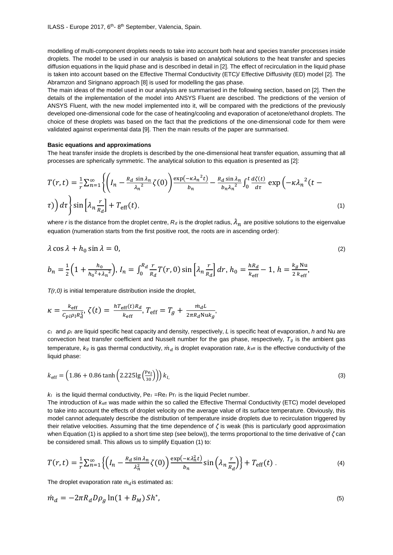modelling of multi-component droplets needs to take into account both heat and species transfer processes inside droplets. The model to be used in our analysis is based on analytical solutions to the heat transfer and species diffusion equations in the liquid phase and is described in detail in [2]. The effect of recirculation in the liquid phase is taken into account based on the Effective Thermal Conductivity (ETC)/ Effective Diffusivity (ED) model [2]. The Abramzon and Sirignano approach [8] is used for modelling the gas phase.

The main ideas of the model used in our analysis are summarised in the following section, based on [2]. Then the details of the implementation of the model into ANSYS Fluent are described. The predictions of the version of ANSYS Fluent, with the new model implemented into it, will be compared with the predictions of the previously developed one-dimensional code for the case of heating/cooling and evaporation of acetone/ethanol droplets. The choice of these droplets was based on the fact that the predictions of the one-dimensional code for them were validated against experimental data [9]. Then the main results of the paper are summarised.

#### **Basic equations and approximations**

The heat transfer inside the droplets is described by the one-dimensional heat transfer equation, assuming that all processes are spherically symmetric. The analytical solution to this equation is presented as [2]:

$$
T(r,t) = \frac{1}{r} \sum_{n=1}^{\infty} \left\{ \left( I_n - \frac{R_d \sin \lambda_n}{\lambda_n^2} \zeta(0) \right) \frac{\exp(-\kappa \lambda_n^2 t)}{b_n} - \frac{R_d \sin \lambda_n}{b_n \lambda_n^2} \int_0^t \frac{d\zeta(t)}{d\tau} \exp\left(-\kappa \lambda_n^2 (t - \tau) \right) d\tau \right\} \sin\left[\lambda_n \frac{r}{R_d}\right] + T_{\text{eff}}(t),\tag{1}
$$

where *r* is the distance from the droplet centre,  $R_d$  is the droplet radius,  $\lambda_n$  are positive solutions to the eigenvalue equation (numeration starts from the first positive root, the roots are in ascending order):

$$
\lambda \cos \lambda + h_0 \sin \lambda = 0, \tag{2}
$$

$$
b_n = \frac{1}{2} \Big( 1 + \frac{h_0}{h_0^2 + \lambda_n^2} \Big), I_n = \int_0^{R_d} \frac{r}{R_d} T(r, 0) \sin \left[ \lambda_n \frac{r}{R_d} \right] dr, h_0 = \frac{hR_d}{k_{\text{eff}}} - 1, h = \frac{k_g \text{Nu}}{2 \, k_{\text{eff}}},
$$

*T(r,0)* is initial temperature distribution inside the droplet,

$$
\kappa = \frac{k_{\text{eff}}}{c_{pl}\rho_l R_d^2}, \zeta(t) = \frac{h T_{\text{eff}}(t) R_d}{k_{\text{eff}}}, T_{\text{eff}} = T_g + \frac{m_d L}{2\pi R_d N u k_g},
$$

*cl* and *ρl* are liquid specific heat capacity and density, respectively, *L* is specific heat of evaporation, *h* and Nu are convection heat transfer coefficient and Nusselt number for the gas phase, respectively, *Tg* is the ambient gas temperature,  $k_g$  is gas thermal conductivity,  $\dot{m}_d$  is droplet evaporation rate,  $k_{eff}$  is the effective conductivity of the liquid phase:

$$
k_{\text{eff}} = \left(1.86 + 0.86 \tanh\left(2.225 \lg\left(\frac{\text{Pe}_l}{30}\right)\right)\right) k_l \tag{3}
$$

 $k_i$  is the liquid thermal conductivity,  $Pe_i = Re_i Pr_i$  is the liquid Peclet number.

The introduction of *k*eff was made within the so called the Effective Thermal Conductivity (ETC) model developed to take into account the effects of droplet velocity on the average value of its surface temperature. Obviously, this model cannot adequately describe the distribution of temperature inside droplets due to recirculation triggered by their relative velocities. Assuming that the time dependence of *ζ* is weak (this is particularly good approximation when Equation (1) is applied to a short time step (see below)), the terms proportional to the time derivative of *ζ* can be considered small. This allows us to simplify Equation (1) to:

$$
T(r,t) = \frac{1}{r} \sum_{n=1}^{\infty} \left\{ \left( I_n - \frac{R_d \sin \lambda_n}{\lambda_n^2} \zeta(0) \right) \frac{\exp(-\kappa \lambda_n^2 t)}{b_n} \sin \left( \lambda_n \frac{r}{R_d} \right) \right\} + T_{\text{eff}}(t) \,. \tag{4}
$$

The droplet evaporation rate  $\dot{m}_d$  is estimated as:

$$
\dot{m}_d = -2\pi R_d D \rho_g \ln(1 + B_M) S h^*,\tag{5}
$$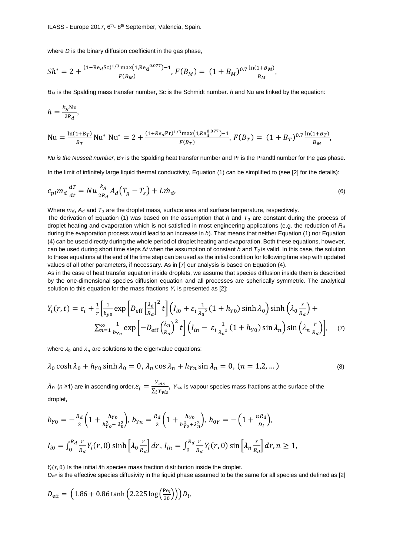where *D* is the binary diffusion coefficient in the gas phase,

$$
Sh^* = 2 + \frac{(1 + \text{Re}_d \text{Sc})^{1/3} \max(1, \text{Re}_d {^{0.077}}) - 1}{F(B_M)}, \, F(B_M) = (1 + B_M)^{0.7} \frac{\ln(1 + B_M)}{B_M},
$$

*BM* is the Spalding mass transfer number, Sc is the Schmidt number. *h* and Nu are linked by the equation:

$$
h = \frac{k_g \text{Nu}}{2R_d},
$$
  
\n
$$
\text{Nu} = \frac{\ln(1 + B_T)}{B_T} \text{Nu}^* \text{Nu}^* = 2 + \frac{(1 + Re_d \text{Pr})^{1/3} \text{max}(1, Re_d^{0.077}) - 1}{F(B_T)},
$$
  
\n
$$
F(B_T) = (1 + B_T)^{0.7} \frac{\ln(1 + B_T)}{B_M},
$$

*Nu is the Nusselt number, BT* is the Spalding heat transfer number and Pr is the Prandtl number for the gas phase.

In the limit of infinitely large liquid thermal conductivity, Equation (1) can be simplified to (see [2] for the details):

$$
c_{pl}m_d\frac{dT}{dt} = Nu\frac{k_g}{2R_d}A_d\left(T_g - T_s\right) + L\dot{m}_d,\tag{6}
$$

Where *md*, *Ad* and *Ts* are the droplet mass*,* surface area and surface temperature, respectively.

The derivation of Equation (1) was based on the assumption that *h* and  $T_q$  are constant during the process of droplet heating and evaporation which is not satisfied in most engineering applications (e.g. the reduction of *Rd* during the evaporation process would lead to an increase in *h*). That means that neither Equation (1) nor Equation (4) can be used directly during the whole period of droplet heating and evaporation. Both these equations, however, can be used during short time steps Δ*t* when the assumption of constant *h* and *Tg* is valid. In this case, the solution to these equations at the end of the time step can be used as the initial condition for following time step with updated values of all other parameters, if necessary. As in [7] our analysis is based on Equation (4).

As in the case of heat transfer equation inside droplets, we assume that species diffusion inside them is described by the one-dimensional species diffusion equation and all processes are spherically symmetric. The analytical solution to this equation for the mass fractions *Yi* is presented as [2]:

$$
Y_i(r,t) = \varepsilon_i + \frac{1}{r} \left[ \frac{1}{b_{y0}} \exp\left[ D_{\text{eff}} \left[ \frac{\lambda_0}{R_d} \right]^2 t \right] \left( I_{i0} + \varepsilon_i \frac{1}{\lambda_0^2} (1 + h_{Y0}) \sinh \lambda_0 \right) \sinh \left( \lambda_0 \frac{r}{R_d} \right) + \sum_{n=1}^{\infty} \frac{1}{b_{Yn}} \exp\left[ -D_{\text{eff}} \left( \frac{\lambda_n}{R_d} \right)^2 t \right] \left( I_{in} - \varepsilon_i \frac{1}{\lambda_n^2} (1 + h_{Y0}) \sin \lambda_n \right) \sin \left( \lambda_n \frac{r}{R_d} \right) \right], \quad (7)
$$

where  $\lambda_0$  and  $\lambda_n$  are solutions to the eigenvalue equations:

$$
\lambda_0 \cosh \lambda_0 + h_{Y0} \sinh \lambda_0 = 0, \lambda_n \cos \lambda_n + h_{Yn} \sin \lambda_n = 0, (n = 1, 2, ...)
$$
 (8)

 $\lambda_n$  (*n* ≥1) are in ascending order, $\varepsilon_i = \frac{Y_{vis}}{\Sigma_i Y_{vis}}$ , *Yvis* is vapour species mass fractions at the surface of the droplet,

$$
b_{Y0} = -\frac{R_d}{2} \left( 1 + \frac{h_{Y0}}{h_{Y0}^2 - \lambda_0^2} \right), \, b_{Yn} = \frac{R_d}{2} \left( 1 + \frac{h_{Y0}}{h_{Y0}^2 + \lambda_n^2} \right), \, h_{0Y} = -\left( 1 + \frac{\alpha R_d}{D_l} \right),
$$
\n
$$
I_{i0} = \int_0^{R_d} \frac{r}{R_d} Y_i(r, 0) \sinh\left[ \lambda_0 \frac{r}{R_d} \right] dr, \, I_{in} = \int_0^{R_d} \frac{r}{R_d} Y_i(r, 0) \sin\left[ \lambda_n \frac{r}{R_d} \right] dr, \, n \ge 1,
$$

 $Y_i(r, 0)$  Is the initial *i*th species mass fraction distribution inside the droplet.

*D*<sub>eff</sub> is the effective species diffusivity in the liquid phase assumed to be the same for all species and defined as [2]

$$
D_{\text{eff}} = (1.86 + 0.86 \tanh (2.225 \log \left( \frac{\text{Pe}_l}{30} \right)) D_l,
$$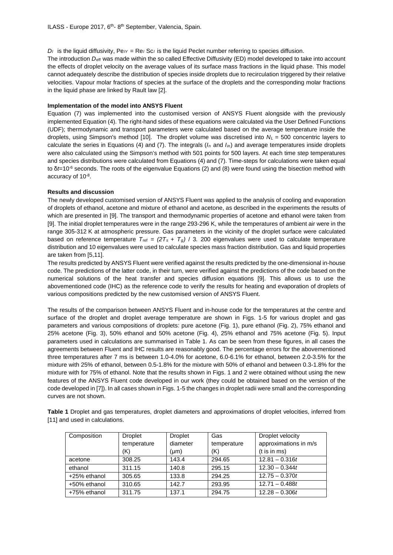$D_l$  is the liquid diffusivity,  $Pe_{lY} = Re_l Sc_l$  is the liquid Peclet number referring to species diffusion.

The introduction  $D_{\text{eff}}$  was made within the so called Effective Diffusivity (ED) model developed to take into account the effects of droplet velocity on the average values of its surface mass fractions in the liquid phase. This model cannot adequately describe the distribution of species inside droplets due to recirculation triggered by their relative velocities. Vapour molar fractions of species at the surface of the droplets and the corresponding molar fractions in the liquid phase are linked by Rault law [2].

#### **Implementation of the model into ANSYS Fluent**

Equation (7) was implemented into the customised version of ANSYS Fluent alongside with the previously implemented Equation (4). The right-hand sides of these equations were calculated via the User Defined Functions (UDF); thermodynamic and transport parameters were calculated based on the average temperature inside the droplets, using Simpson's method [10]. The droplet volume was discretised into *NL* = 500 concentric layers to calculate the series in Equations (4) and (7). The integrals (*In* and *Iin*) and average temperatures inside droplets were also calculated using the Simpson's method with 501 points for 500 layers. At each time step temperatures and species distributions were calculated from Equations (4) and (7). Time-steps for calculations were taken equal to δ*t*=10-6 seconds. The roots of the eigenvalue Equations (2) and (8) were found using the bisection method with accuracy of 10-8.

#### **Results and discussion**

The newly developed customised version of ANSYS Fluent was applied to the analysis of cooling and evaporation of droplets of ethanol, acetone and mixture of ethanol and acetone, as described in the experiments the results of which are presented in [9]. The transport and thermodynamic properties of acetone and ethanol were taken from [9]. The initial droplet temperatures were in the range 293-296 K, while the temperatures of ambient air were in the range 305-312 K at atmospheric pressure. Gas parameters in the vicinity of the droplet surface were calculated based on reference temperature  $T_{\text{ref}} = (2T_s + T_g) / 3$ . 200 eigenvalues were used to calculate temperature distribution and 10 eigenvalues were used to calculate species mass fraction distribution. Gas and liquid properties are taken from [5,11].

The results predicted by ANSYS Fluent were verified against the results predicted by the one-dimensional in-house code. The predictions of the latter code, in their turn, were verified against the predictions of the code based on the numerical solutions of the heat transfer and species diffusion equations [9]. This allows us to use the abovementioned code (IHC) as the reference code to verify the results for heating and evaporation of droplets of various compositions predicted by the new customised version of ANSYS Fluent.

The results of the comparison between ANSYS Fluent and in-house code for the temperatures at the centre and surface of the droplet and droplet average temperature are shown in Figs. 1-5 for various droplet and gas parameters and various compositions of droplets: pure acetone (Fig. 1), pure ethanol (Fig. 2), 75% ethanol and 25% acetone (Fig. 3), 50% ethanol and 50% acetone (Fig. 4), 25% ethanol and 75% acetone (Fig. 5). Input parameters used in calculations are summarised in Table 1. As can be seen from these figures, in all cases the agreements between Fluent and IHC results are reasonably good. The percentage errors for the abovementioned three temperatures after 7 ms is between 1.0-4.0% for acetone, 6.0-6.1% for ethanol, between 2.0-3.5% for the mixture with 25% of ethanol, between 0.5-1.8% for the mixture with 50% of ethanol and between 0.3-1.8% for the mixture with for 75% of ethanol. Note that the results shown in Figs. 1 and 2 were obtained without using the new features of the ANSYS Fluent code developed in our work (they could be obtained based on the version of the code developed in [7]). In all cases shown in Figs. 1-5 the changes in droplet radii were small and the corresponding curves are not shown.

**Table 1** Droplet and gas temperatures, droplet diameters and approximations of droplet velocities, inferred from [11] and used in calculations.

| Composition  | <b>Droplet</b> | <b>Droplet</b> | Gas         | Droplet velocity      |
|--------------|----------------|----------------|-------------|-----------------------|
|              | temperature    | diameter       | temperature | approximations in m/s |
|              | (K)            | (µm)           | (K)         | $(t$ is in ms)        |
| acetone      | 308.25         | 143.4          | 294.65      | $12.81 - 0.316t$      |
| ethanol      | 311.15         | 140.8          | 295.15      | $12.30 - 0.344t$      |
| +25% ethanol | 305.65         | 133.8          | 294.25      | $12.75 - 0.370t$      |
| +50% ethanol | 310.65         | 142.7          | 293.95      | $12.71 - 0.488t$      |
| +75% ethanol | 311.75         | 137.1          | 294.75      | $12.28 - 0.306t$      |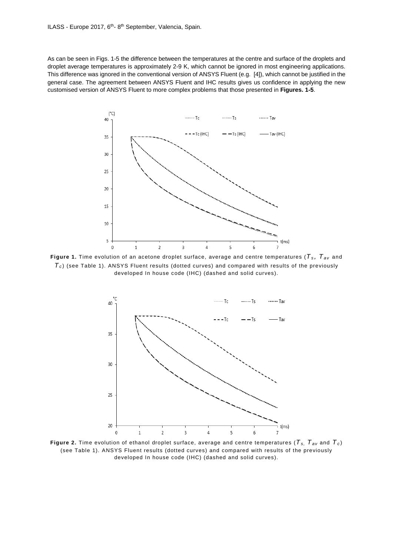As can be seen in Figs. 1-5 the difference between the temperatures at the centre and surface of the droplets and droplet average temperatures is approximately 2-9 K, which cannot be ignored in most engineering applications. This difference was ignored in the conventional version of ANSYS Fluent (e.g. [4]), which cannot be justified in the general case. The agreement between ANSYS Fluent and IHC results gives us confidence in applying the new customised version of ANSYS Fluent to more complex problems that those presented in **Figures. 1-5**.



**Figure** 1. Time evolution of an acetone droplet surface, average and centre temperatures ( $T_s$ ,  $T_{av}$  and  $T_c$ ) (see Table 1). ANSYS Fluent results (dotted curves) and compared with results of the previously developed In house code (IHC) (dashed and solid curves).



**Figure 2.** Time evolution of ethanol droplet surface, average and centre temperatures (*Ts, Tav* and *Tc* ) (see Table 1). ANSYS Fluent results (dotted curves) and compared with results of the previously developed In house code (IHC) (dashed and solid curves).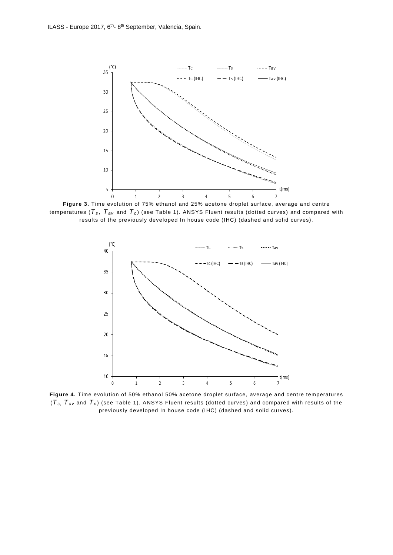

**Figure 3.** Time evolution of 75% ethanol and 25% acetone droplet surface, average and centre temperatures ( $T_s$ ,  $T_{av}$  and  $T_c$ ) (see Table 1). ANSYS Fluent results (dotted curves) and compared with results of the previously developed In house code (IHC) (dashed and solid curves).



**Figure 4.** Time evolution of 50% ethanol 50% acetone droplet surface, average and centre temperatures (*Ts, Tav* and *Tc* ) (see Table 1). ANSYS Fluent results (dotted curves) and compared with results of the previously developed In house code (IHC) (dashed and solid curves).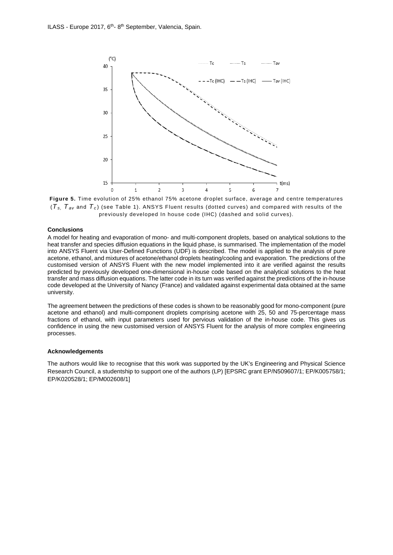

**Figure 5.** Time evolution of 25% ethanol 75% acetone droplet surface, average and centre temperatures  $(T_{s}, T_{av}$  and  $T_{c}$ ) (see Table 1). ANSYS Fluent results (dotted curves) and compared with results of the previously developed In house code (IHC) (dashed and solid curves).

#### **Conclusions**

A model for heating and evaporation of mono- and multi-component droplets, based on analytical solutions to the heat transfer and species diffusion equations in the liquid phase, is summarised. The implementation of the model into ANSYS Fluent via User-Defined Functions (UDF) is described. The model is applied to the analysis of pure acetone, ethanol, and mixtures of acetone/ethanol droplets heating/cooling and evaporation. The predictions of the customised version of ANSYS Fluent with the new model implemented into it are verified against the results predicted by previously developed one-dimensional in-house code based on the analytical solutions to the heat transfer and mass diffusion equations. The latter code in its turn was verified against the predictions of the in-house code developed at the University of Nancy (France) and validated against experimental data obtained at the same university.

The agreement between the predictions of these codes is shown to be reasonably good for mono-component (pure acetone and ethanol) and multi-component droplets comprising acetone with 25, 50 and 75-percentage mass fractions of ethanol, with input parameters used for pervious validation of the in-house code. This gives us confidence in using the new customised version of ANSYS Fluent for the analysis of more complex engineering processes.

#### **Acknowledgements**

The authors would like to recognise that this work was supported by the UK's Engineering and Physical Science Research Council, a studentship to support one of the authors (LP) [EPSRC grant EP/N509607/1; EP/K005758/1; EP/K020528/1; EP/M002608/1]